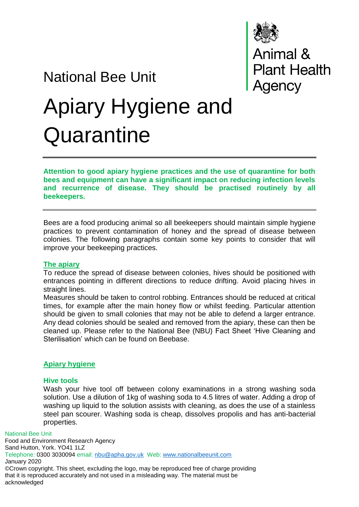

# National Bee Unit Apiary Hygiene and **Quarantine**

**Attention to good apiary hygiene practices and the use of quarantine for both bees and equipment can have a significant impact on reducing infection levels and recurrence of disease. They should be practised routinely by all beekeepers.**

Bees are a food producing animal so all beekeepers should maintain simple hygiene practices to prevent contamination of honey and the spread of disease between colonies. The following paragraphs contain some key points to consider that will improve your beekeeping practices.

### **The apiary**

To reduce the spread of disease between colonies, hives should be positioned with entrances pointing in different directions to reduce drifting. Avoid placing hives in straight lines.

Measures should be taken to control robbing. Entrances should be reduced at critical times, for example after the main honey flow or whilst feeding. Particular attention should be given to small colonies that may not be able to defend a larger entrance. Any dead colonies should be sealed and removed from the apiary, these can then be cleaned up. Please refer to the National Bee (NBU) Fact Sheet 'Hive Cleaning and Sterilisation' which can be found on Beebase.

# **Apiary hygiene**

### **Hive tools**

Wash your hive tool off between colony examinations in a strong washing soda solution. Use a dilution of 1kg of washing soda to 4.5 litres of water. Adding a drop of washing up liquid to the solution assists with cleaning, as does the use of a stainless steel pan scourer. Washing soda is cheap, dissolves propolis and has anti-bacterial properties.

National Bee Unit

Food and Environment Research Agency Sand Hutton, York. YO41 1LZ Telephone: 0300 3030094 email: [nbu@apha.gov.uk](mailto:nbu@apha.gov.uk) Web: [www.nationalbeeunit.com](http://www.nationalbeeunit.com/) January 2020 ©Crown copyright. This sheet, excluding the logo, may be reproduced free of charge providing that it is reproduced accurately and not used in a misleading way. The material must be acknowledged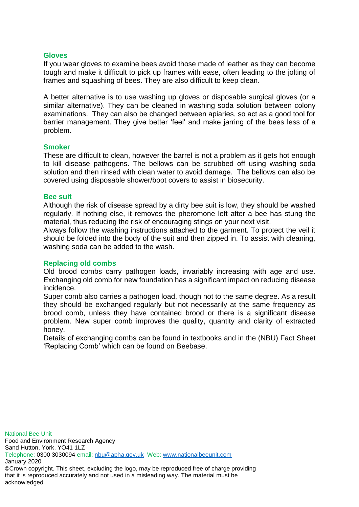### **Gloves**

If you wear gloves to examine bees avoid those made of leather as they can become tough and make it difficult to pick up frames with ease, often leading to the jolting of frames and squashing of bees. They are also difficult to keep clean.

A better alternative is to use washing up gloves or disposable surgical gloves (or a similar alternative). They can be cleaned in washing soda solution between colony examinations. They can also be changed between apiaries, so act as a good tool for barrier management. They give better 'feel' and make jarring of the bees less of a problem.

#### **Smoker**

These are difficult to clean, however the barrel is not a problem as it gets hot enough to kill disease pathogens. The bellows can be scrubbed off using washing soda solution and then rinsed with clean water to avoid damage. The bellows can also be covered using disposable shower/boot covers to assist in biosecurity.

#### **Bee suit**

Although the risk of disease spread by a dirty bee suit is low, they should be washed regularly. If nothing else, it removes the pheromone left after a bee has stung the material, thus reducing the risk of encouraging stings on your next visit.

Always follow the washing instructions attached to the garment. To protect the veil it should be folded into the body of the suit and then zipped in. To assist with cleaning, washing soda can be added to the wash.

### **Replacing old combs**

Old brood combs carry pathogen loads, invariably increasing with age and use. Exchanging old comb for new foundation has a significant impact on reducing disease incidence.

Super comb also carries a pathogen load, though not to the same degree. As a result they should be exchanged regularly but not necessarily at the same frequency as brood comb, unless they have contained brood or there is a significant disease problem. New super comb improves the quality, quantity and clarity of extracted honey.

Details of exchanging combs can be found in textbooks and in the (NBU) Fact Sheet 'Replacing Comb' which can be found on Beebase.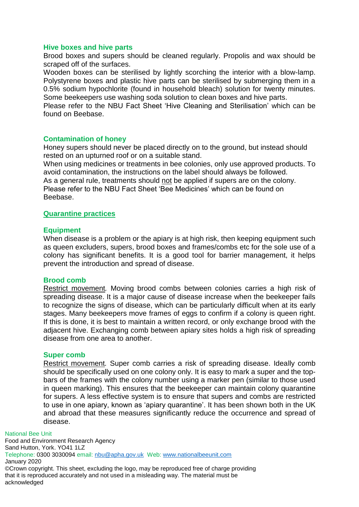### **Hive boxes and hive parts**

Brood boxes and supers should be cleaned regularly. Propolis and wax should be scraped off of the surfaces.

Wooden boxes can be sterilised by lightly scorching the interior with a blow-lamp. Polystyrene boxes and plastic hive parts can be sterilised by submerging them in a 0.5% sodium hypochlorite (found in household bleach) solution for twenty minutes. Some beekeepers use washing soda solution to clean boxes and hive parts.

Please refer to the NBU Fact Sheet 'Hive Cleaning and Sterilisation' which can be found on Beebase.

## **Contamination of honey**

Honey supers should never be placed directly on to the ground, but instead should rested on an upturned roof or on a suitable stand.

When using medicines or treatments in bee colonies, only use approved products. To avoid contamination, the instructions on the label should always be followed. As a general rule, treatments should not be applied if supers are on the colony.

Please refer to the NBU Fact Sheet 'Bee Medicines' which can be found on Beebase.

## **Quarantine practices**

### **Equipment**

When disease is a problem or the apiary is at high risk, then keeping equipment such as queen excluders, supers, brood boxes and frames/combs etc for the sole use of a colony has significant benefits. It is a good tool for barrier management, it helps prevent the introduction and spread of disease.

### **Brood comb**

Restrict movement*.* Moving brood combs between colonies carries a high risk of spreading disease. It is a major cause of disease increase when the beekeeper fails to recognize the signs of disease, which can be particularly difficult when at its early stages. Many beekeepers move frames of eggs to confirm if a colony is queen right. If this is done, it is best to maintain a written record, or only exchange brood with the adjacent hive. Exchanging comb between apiary sites holds a high risk of spreading disease from one area to another.

### **Super comb**

Restrict movement*.* Super comb carries a risk of spreading disease. Ideally comb should be specifically used on one colony only. It is easy to mark a super and the topbars of the frames with the colony number using a marker pen (similar to those used in queen marking). This ensures that the beekeeper can maintain colony quarantine for supers. A less effective system is to ensure that supers and combs are restricted to use in one apiary, known as 'apiary quarantine'. It has been shown both in the UK and abroad that these measures significantly reduce the occurrence and spread of disease.

#### National Bee Unit

Food and Environment Research Agency Sand Hutton, York. YO41 1LZ Telephone: 0300 3030094 email: [nbu@apha.gov.uk](mailto:nbu@apha.gov.uk) Web: [www.nationalbeeunit.com](http://www.nationalbeeunit.com/) January 2020 ©Crown copyright. This sheet, excluding the logo, may be reproduced free of charge providing that it is reproduced accurately and not used in a misleading way. The material must be acknowledged